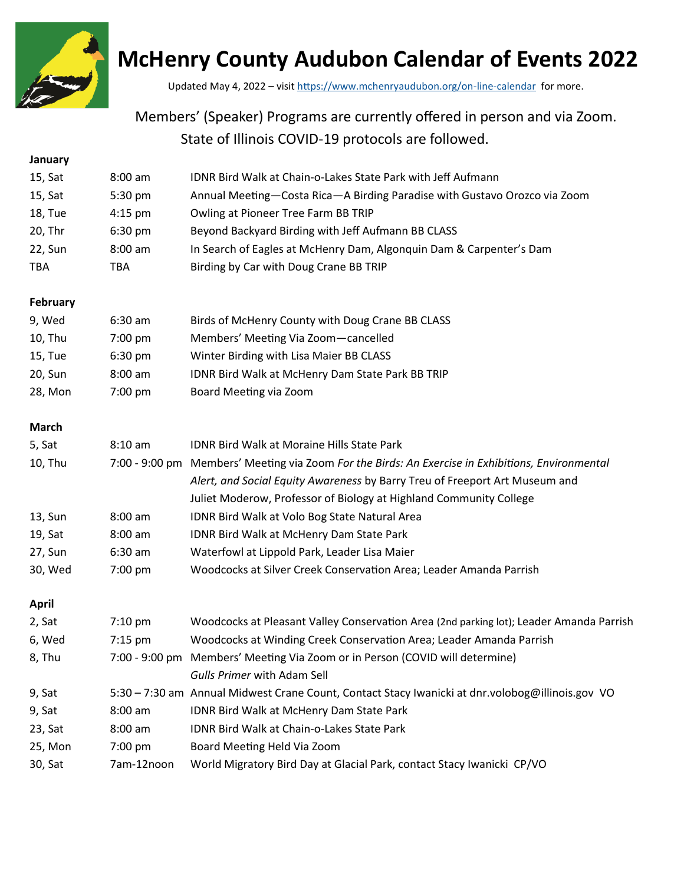

# **McHenry County Audubon Calendar of Events 2022**

Updated May 4, 2022 – visit [https://www.mchenryaudubon.org/on](https://www.mchenryaudubon.org/on-line-calendar)-line-calendar for more.

## Members' (Speaker) Programs are currently offered in person and via Zoom. State of Illinois COVID-19 protocols are followed.

## **January** 15, Sat 8:00 am IDNR Bird Walk at Chain-o-Lakes State Park with Jeff Aufmann 15, Sat 5:30 pm Annual Meeting—Costa Rica—A Birding Paradise with Gustavo Orozco via Zoom 18, Tue 4:15 pm Owling at Pioneer Tree Farm BB TRIP 20, Thr 6:30 pm Beyond Backyard Birding with Jeff Aufmann BB CLASS 22, Sun 8:00 am In Search of Eagles at McHenry Dam, Algonquin Dam & Carpenter's Dam TBA TBA Birding by Car with Doug Crane BB TRIP **February** 9, Wed 6:30 am Birds of McHenry County with Doug Crane BB CLASS 10, Thu 7:00 pm Members' Meeting Via Zoom—cancelled 15, Tue 6:30 pm Winter Birding with Lisa Maier BB CLASS 20, Sun 8:00 am IDNR Bird Walk at McHenry Dam State Park BB TRIP 28, Mon 7:00 pm Board Meeting via Zoom **March** 5, Sat 8:10 am IDNR Bird Walk at Moraine Hills State Park 10, Thu 7:00 - 9:00 pm Members' Meeting via Zoom *For the Birds: An Exercise in Exhibitions, Environmental Alert, and Social Equity Awareness* by Barry Treu of Freeport Art Museum and Juliet Moderow, Professor of Biology at Highland Community College 13, Sun 8:00 am IDNR Bird Walk at Volo Bog State Natural Area 19, Sat 8:00 am IDNR Bird Walk at McHenry Dam State Park 27, Sun 6:30 am Waterfowl at Lippold Park, Leader Lisa Maier 30, Wed 7:00 pm Woodcocks at Silver Creek Conservation Area; Leader Amanda Parrish **April** 2, Sat 7:10 pm Woodcocks at Pleasant Valley Conservation Area (2nd parking lot); Leader Amanda Parrish 6, Wed 7:15 pm Woodcocks at Winding Creek Conservation Area; Leader Amanda Parrish 8, Thu 7:00 - 9:00 pm Members' Meeting Via Zoom or in Person (COVID will determine) *Gulls Primer* with Adam Sell 9, Sat 5:30 – 7:30 am Annual Midwest Crane Count, Contact Stacy Iwanicki at dnr.volobog@illinois.gov VO 9, Sat 8:00 am IDNR Bird Walk at McHenry Dam State Park 23, Sat 8:00 am IDNR Bird Walk at Chain-o-Lakes State Park 25, Mon 7:00 pm Board Meeting Held Via Zoom 30, Sat 7am-12noon World Migratory Bird Day at Glacial Park, contact Stacy Iwanicki CP/VO